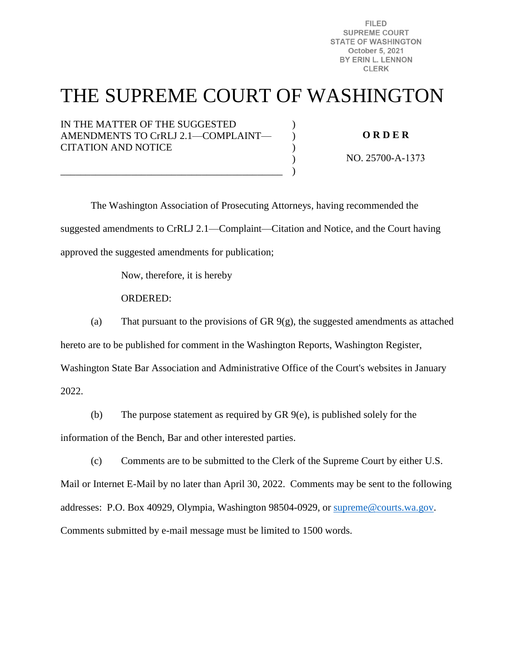**FILED SUPREME COURT STATE OF WASHINGTON** October 5, 2021 BY ERIN L. LENNON **CLERK** 

## THE SUPREME COURT OF WASHINGTON

)  $\lambda$ ) ) )

IN THE MATTER OF THE SUGGESTED AMENDMENTS TO CrRLJ 2.1—COMPLAINT— CITATION AND NOTICE

\_\_\_\_\_\_\_\_\_\_\_\_\_\_\_\_\_\_\_\_\_\_\_\_\_\_\_\_\_\_\_\_\_\_\_\_\_\_\_\_\_\_\_\_

**O R D E R** 

NO. 25700-A-1373

The Washington Association of Prosecuting Attorneys, having recommended the suggested amendments to CrRLJ 2.1—Complaint—Citation and Notice, and the Court having approved the suggested amendments for publication;

Now, therefore, it is hereby

ORDERED:

(a) That pursuant to the provisions of GR  $9(g)$ , the suggested amendments as attached

hereto are to be published for comment in the Washington Reports, Washington Register,

Washington State Bar Association and Administrative Office of the Court's websites in January

2022.

(b) The purpose statement as required by GR 9(e), is published solely for the information of the Bench, Bar and other interested parties.

(c) Comments are to be submitted to the Clerk of the Supreme Court by either U.S. Mail or Internet E-Mail by no later than April 30, 2022. Comments may be sent to the following addresses: P.O. Box 40929, Olympia, Washington 98504-0929, or [supreme@courts.wa.gov.](mailto:supreme@courts.wa.gov) Comments submitted by e-mail message must be limited to 1500 words.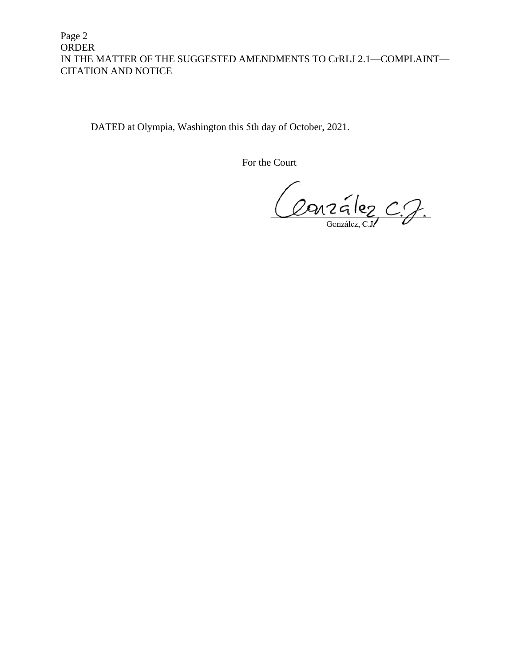Page 2 ORDER IN THE MATTER OF THE SUGGESTED AMENDMENTS TO CrRLJ 2.1—COMPLAINT— CITATION AND NOTICE

DATED at Olympia, Washington this 5th day of October, 2021.

For the Court

Conzález C.J.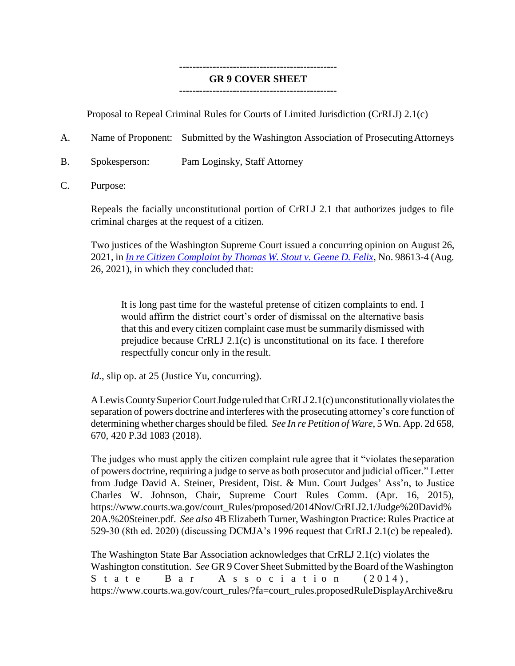## **----------------------------------------------- GR 9 COVER SHEET**

## **-----------------------------------------------**

Proposal to Repeal Criminal Rules for Courts of Limited Jurisdiction (CrRLJ) 2.1(c)

- A. Name of Proponent: Submitted by the Washington Association of ProsecutingAttorneys
- B. Spokesperson: Pam Loginsky, Staff Attorney
- C. Purpose:

Repeals the facially unconstitutional portion of CrRLJ 2.1 that authorizes judges to file criminal charges at the request of a citizen.

Two justices of the Washington Supreme Court issued a concurring opinion on August 26, 2021, in *In re Citizen [Complaint](https://www.courts.wa.gov/opinions/pdf/986134.pdf) by Thomas W. Stout v. Geene D. Felix*, No. 98613-4 (Aug. 26, 2021), in which they concluded that:

It is long past time for the wasteful pretense of citizen complaints to end. I would affirm the district court's order of dismissal on the alternative basis that this and every citizen complaint case must be summarily dismissed with prejudice because CrRLJ 2.1(c) is unconstitutional on its face. I therefore respectfully concur only in the result.

*Id.*, slip op. at 25 (Justice Yu, concurring).

A Lewis County Superior Court Judge ruled that CrRLJ 2.1(c) unconstitutionally violates the separation of powers doctrine and interferes with the prosecuting attorney's core function of determining whether charges should be filed. See In re Petition of Ware, 5 Wn. App. 2d 658, 670, 420 P.3d 1083 (2018).

The judges who must apply the citizen complaint rule agree that it "violates the separation of powers doctrine, requiring a judge to serve as both prosecutor and judicial officer." Letter from Judge David A. Steiner, President, Dist. & Mun. Court Judges' Ass'n, to Justice Charles W. Johnson, Chair, Supreme Court Rules Comm. (Apr. 16, 2015), [https://www.courts.wa.gov/court\\_Ru](http://www.courts.wa.gov/court_Rules/proposed/2014Nov/CrRLJ2.1/Judge%20David%25)les/pr[oposed/2014Nov/CrRLJ2.1/Judge%20David%](http://www.courts.wa.gov/court_Rules/proposed/2014Nov/CrRLJ2.1/Judge%20David%25) 20A.%20Steiner.pdf. *See also* 4B Elizabeth Turner, Washington Practice: Rules Practice at 529-30 (8th ed. 2020) (discussing DCMJA's 1996 request that CrRLJ 2.1(c) be repealed).

The Washington State Bar Association acknowledges that CrRLJ 2.1(c) violates the Washington constitution. *See* GR 9 Cover Sheet Submitted by the Board of the Washington State Bar Association  $(2014)$ , [https://www.courts.wa.gov/court\\_rules/?fa=court\\_rules.proposedRul](http://www.courts.wa.gov/court_rules/?fa=court_rules.proposedRuleDisplayArchive&ru)eDispl[ayArchive&ru](http://www.courts.wa.gov/court_rules/?fa=court_rules.proposedRuleDisplayArchive&ru)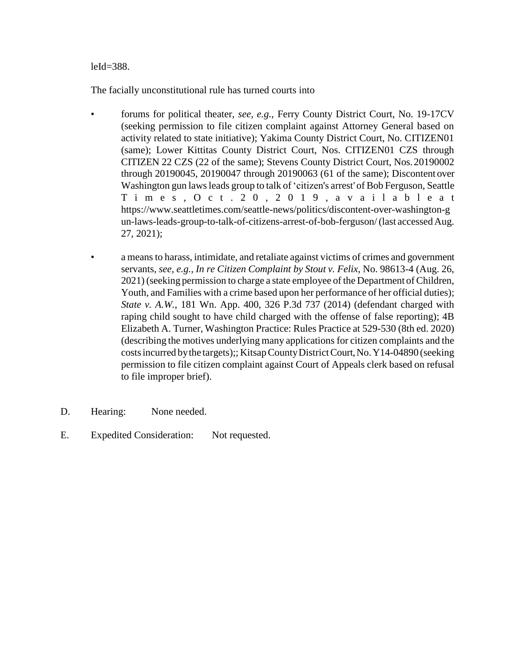## leId=388.

The facially unconstitutional rule has turned courts into

- forums for political theater, *see, e.g.*, Ferry County District Court, No. 19-17CV (seeking permission to file citizen complaint against Attorney General based on activity related to state initiative); Yakima County District Court, No. CITIZEN01 (same); Lower Kittitas County District Court, Nos. CITIZEN01 CZS through CITIZEN 22 CZS (22 of the same); Stevens County District Court, Nos.20190002 through 20190045, 20190047 through 20190063 (61 of the same); Discontent over Washington gun laws leads group to talk of 'citizen's arrest' of Bob Ferguson, Seattle T i m e s , O c t . 2 0 , 2 0 1 9 , a v a i l a b l e a t https:/[/www.seattletimes.com/seattle-news/politics/discontent-over-washington-g](http://www.seattletimes.com/seattle-news/politics/discontent-over-washington-g) un-laws-leads-group-to-talk-of-citizens-arrest-of-bob-ferguson/(last accessedAug. 27, 2021);
- a meansto harass, intimidate, and retaliate against victims of crimes and government servants, *see, e.g., In re Citizen Complaint by Stout v. Felix*, No. 98613-4 (Aug. 26, 2021) (seeking permission to charge a state employee of the Department of Children, Youth, and Families with a crime based upon her performance of her official duties); *State v. A.W.*, 181 Wn. App. 400, 326 P.3d 737 (2014) (defendant charged with raping child sought to have child charged with the offense of false reporting); 4B Elizabeth A. Turner, Washington Practice: Rules Practice at 529-530 (8th ed. 2020) (describing the motives underlying many applications for citizen complaints and the costsincurred bythe targets);; KitsapCountyDistrictCourt,No.Y14-04890 (seeking permission to file citizen complaint against Court of Appeals clerk based on refusal to file improper brief).
- D. Hearing: None needed.
- E. Expedited Consideration: Not requested.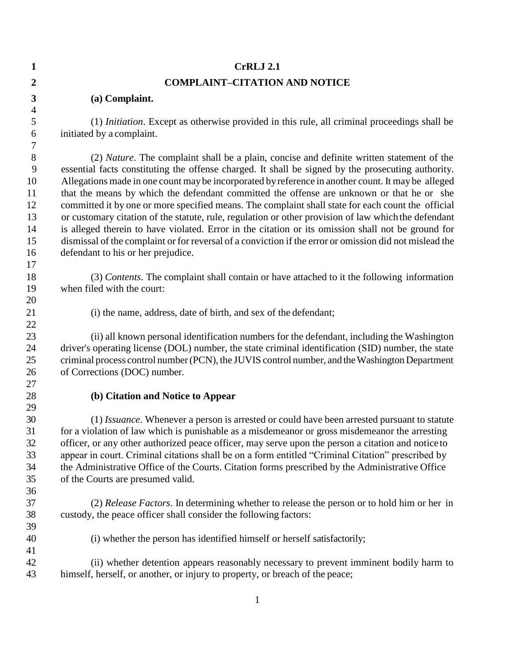| $\mathbf{1}$     | <b>CrRLJ 2.1</b>                                                                                        |  |  |  |  |
|------------------|---------------------------------------------------------------------------------------------------------|--|--|--|--|
| $\overline{2}$   | <b>COMPLAINT-CITATION AND NOTICE</b>                                                                    |  |  |  |  |
| $\boldsymbol{3}$ | (a) Complaint.                                                                                          |  |  |  |  |
| $\overline{4}$   |                                                                                                         |  |  |  |  |
| $\mathfrak s$    | (1) <i>Initiation</i> . Except as otherwise provided in this rule, all criminal proceedings shall be    |  |  |  |  |
| 6                | initiated by a complaint.                                                                               |  |  |  |  |
| 7                |                                                                                                         |  |  |  |  |
| $8\,$            | (2) Nature. The complaint shall be a plain, concise and definite written statement of the               |  |  |  |  |
| 9                | essential facts constituting the offense charged. It shall be signed by the prosecuting authority.      |  |  |  |  |
| 10               | Allegations made in one count may be incorporated by reference in another count. It may be alleged      |  |  |  |  |
| 11               | that the means by which the defendant committed the offense are unknown or that he or she               |  |  |  |  |
| 12               | committed it by one or more specified means. The complaint shall state for each count the official      |  |  |  |  |
| 13               | or customary citation of the statute, rule, regulation or other provision of law which the defendant    |  |  |  |  |
| 14               | is alleged therein to have violated. Error in the citation or its omission shall not be ground for      |  |  |  |  |
| 15               | dismissal of the complaint or for reversal of a conviction if the error or omission did not mislead the |  |  |  |  |
| 16               | defendant to his or her prejudice.                                                                      |  |  |  |  |
| 17               |                                                                                                         |  |  |  |  |
| 18               | (3) Contents. The complaint shall contain or have attached to it the following information              |  |  |  |  |
| 19               | when filed with the court:                                                                              |  |  |  |  |
| 20               |                                                                                                         |  |  |  |  |
| 21               | (i) the name, address, date of birth, and sex of the defendant;                                         |  |  |  |  |
| 22               | (ii) all known personal identification numbers for the defendant, including the Washington              |  |  |  |  |
| 23<br>24         | driver's operating license (DOL) number, the state criminal identification (SID) number, the state      |  |  |  |  |
| 25               | criminal process control number (PCN), the JUVIS control number, and the Washington Department          |  |  |  |  |
| 26               | of Corrections (DOC) number.                                                                            |  |  |  |  |
| 27               |                                                                                                         |  |  |  |  |
| 28               | (b) Citation and Notice to Appear                                                                       |  |  |  |  |
| 29               |                                                                                                         |  |  |  |  |
| 30               | (1) <i>Issuance</i> . Whenever a person is arrested or could have been arrested pursuant to statute     |  |  |  |  |
| 31               | for a violation of law which is punishable as a misdemeanor or gross misdemeanor the arresting          |  |  |  |  |
| 32               | officer, or any other authorized peace officer, may serve upon the person a citation and notice to      |  |  |  |  |
| 33               | appear in court. Criminal citations shall be on a form entitled "Criminal Citation" prescribed by       |  |  |  |  |
| 34               | the Administrative Office of the Courts. Citation forms prescribed by the Administrative Office         |  |  |  |  |
| 35               | of the Courts are presumed valid.                                                                       |  |  |  |  |
| 36               |                                                                                                         |  |  |  |  |
| 37               | (2) Release Factors. In determining whether to release the person or to hold him or her in              |  |  |  |  |
| 38               | custody, the peace officer shall consider the following factors:                                        |  |  |  |  |
| 39               |                                                                                                         |  |  |  |  |
| 40               | (i) whether the person has identified himself or herself satisfactorily;                                |  |  |  |  |
| 41               |                                                                                                         |  |  |  |  |
| 42               | (ii) whether detention appears reasonably necessary to prevent imminent bodily harm to                  |  |  |  |  |
| 43               | himself, herself, or another, or injury to property, or breach of the peace;                            |  |  |  |  |
|                  |                                                                                                         |  |  |  |  |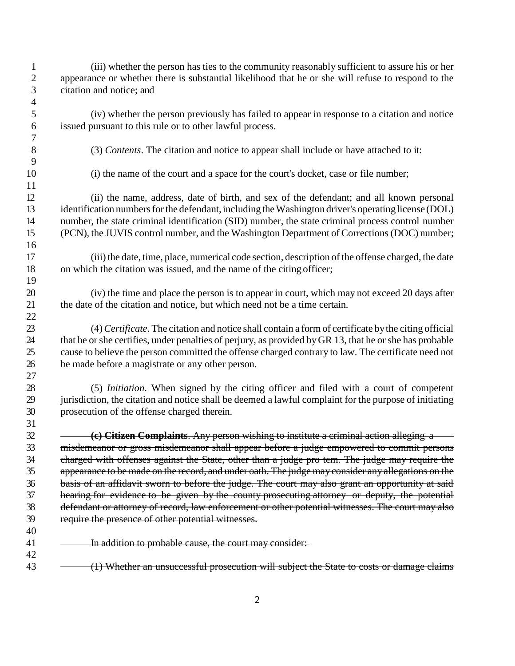(iii) whether the person has ties to the community reasonably sufficient to assure his or her appearance or whether there is substantial likelihood that he or she will refuse to respond to the citation and notice; and (iv) whether the person previously has failed to appear in response to a citation and notice issued pursuant to this rule or to other lawful process. (3) *Contents*. The citation and notice to appear shall include or have attached to it: (i) the name of the court and a space for the court's docket, case or file number; (ii) the name, address, date of birth, and sex of the defendant; and all known personal 13 identification numbers for the defendant, including the Washington driver's operating license (DOL) number, the state criminal identification (SID) number, the state criminal process control number (PCN), the JUVIS control number, and the Washington Department of Corrections(DOC) number; (iii)the date, time, place, numerical code section, description of the offense charged, the date on which the citation was issued, and the name of the citing officer; (iv) the time and place the person is to appear in court, which may not exceed 20 days after the date of the citation and notice, but which need not be a time certain. (4)*Certificate*. The citation and notice shall contain a form of certificate bythe citing official that he orshe certifies, under penalties of perjury, as provided byGR 13, that he or she has probable cause to believe the person committed the offense charged contrary to law. The certificate need not be made before a magistrate or any other person. (5) *Initiation*. When signed by the citing officer and filed with a court of competent jurisdiction, the citation and notice shall be deemed a lawful complaint for the purpose of initiating prosecution of the offense charged therein. **(c) Citizen Complaints**. Any person wishing to institute a criminal action alleging a misdemeanor or gross misdemeanor shall appear before a judge empowered to commit persons charged with offenses against the State, other than a judge pro tem. The judge may require the appearance to be made on the record, and under oath. The judge may consider any allegations on the basis of an affidavit sworn to before the judge. The court may also grant an opportunity at said hearing for evidence to be given by the county prosecuting attorney or deputy, the potential defendant or attorney of record, law enforcement or other potential witnesses. The court may also require the presence of other potential witnesses. 41 - In addition to probable cause, the court may consider: 43 (1) Whether an unsuccessful prosecution will subject the State to costs or damage claims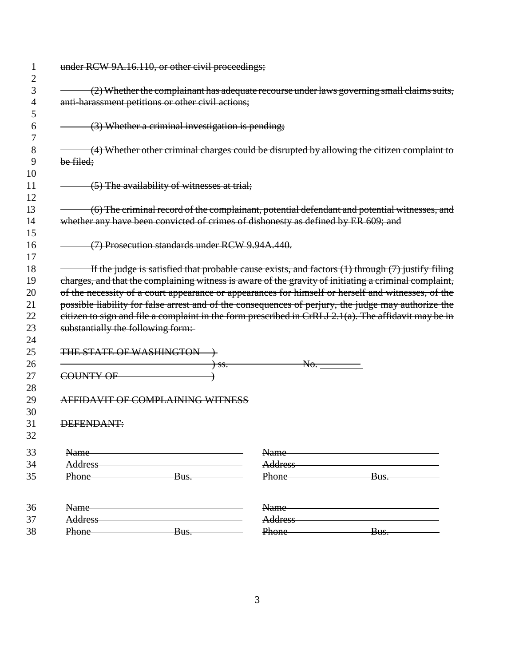| under RCW 9A.16.110, or other civil proceedings;                                                                                                |                                                                                   |                   |                                                                                                                                                                                                                                                                                                                                                                                                                                                                                                                                   |  |  |  |
|-------------------------------------------------------------------------------------------------------------------------------------------------|-----------------------------------------------------------------------------------|-------------------|-----------------------------------------------------------------------------------------------------------------------------------------------------------------------------------------------------------------------------------------------------------------------------------------------------------------------------------------------------------------------------------------------------------------------------------------------------------------------------------------------------------------------------------|--|--|--|
| (2) Whether the complainant has adequate recourse under laws governing small claims suits,<br>anti-harassment petitions or other civil actions; |                                                                                   |                   |                                                                                                                                                                                                                                                                                                                                                                                                                                                                                                                                   |  |  |  |
|                                                                                                                                                 | (3) Whether a criminal investigation is pending;                                  |                   |                                                                                                                                                                                                                                                                                                                                                                                                                                                                                                                                   |  |  |  |
| be filed;                                                                                                                                       |                                                                                   |                   | (4) Whether other criminal charges could be disrupted by allowing the citizen complaint to                                                                                                                                                                                                                                                                                                                                                                                                                                        |  |  |  |
|                                                                                                                                                 | (5) The availability of witnesses at trial;                                       |                   |                                                                                                                                                                                                                                                                                                                                                                                                                                                                                                                                   |  |  |  |
|                                                                                                                                                 | whether any have been convicted of crimes of dishonesty as defined by ER 609; and |                   | (6) The criminal record of the complainant, potential defendant and potential witnesses, and                                                                                                                                                                                                                                                                                                                                                                                                                                      |  |  |  |
|                                                                                                                                                 | (7) Prosecution standards under RCW 9.94A.440.                                    |                   |                                                                                                                                                                                                                                                                                                                                                                                                                                                                                                                                   |  |  |  |
|                                                                                                                                                 | substantially the following form:                                                 |                   | If the judge is satisfied that probable cause exists, and factors (1) through (7) justify filing<br>charges, and that the complaining witness is aware of the gravity of initiating a criminal complaint,<br>of the necessity of a court appearance or appearances for himself or herself and witnesses, of the<br>possible liability for false arrest and of the consequences of perjury, the judge may authorize the<br>citizen to sign and file a complaint in the form prescribed in CrRLJ $2.1(a)$ . The affidavit may be in |  |  |  |
|                                                                                                                                                 | THE STATE OF WASHINGTON +<br><del>) ss.</del><br>COUNTY OF                        | No.               |                                                                                                                                                                                                                                                                                                                                                                                                                                                                                                                                   |  |  |  |
|                                                                                                                                                 | AFFIDAVIT OF COMPLAINING WITNESS                                                  |                   |                                                                                                                                                                                                                                                                                                                                                                                                                                                                                                                                   |  |  |  |
| DEFENDANT:                                                                                                                                      |                                                                                   |                   |                                                                                                                                                                                                                                                                                                                                                                                                                                                                                                                                   |  |  |  |
| Name-                                                                                                                                           |                                                                                   | Name-             |                                                                                                                                                                                                                                                                                                                                                                                                                                                                                                                                   |  |  |  |
| Address<br>Phone                                                                                                                                | Bus.                                                                              | Phone             | Address and the contract of the contract of the contract of the contract of the contract of the contract of the<br>Bus.                                                                                                                                                                                                                                                                                                                                                                                                           |  |  |  |
| Name-                                                                                                                                           |                                                                                   | Name              |                                                                                                                                                                                                                                                                                                                                                                                                                                                                                                                                   |  |  |  |
| Address<br>Phone                                                                                                                                | Bus.                                                                              | Address-<br>Phone | Bus.                                                                                                                                                                                                                                                                                                                                                                                                                                                                                                                              |  |  |  |
|                                                                                                                                                 |                                                                                   |                   |                                                                                                                                                                                                                                                                                                                                                                                                                                                                                                                                   |  |  |  |